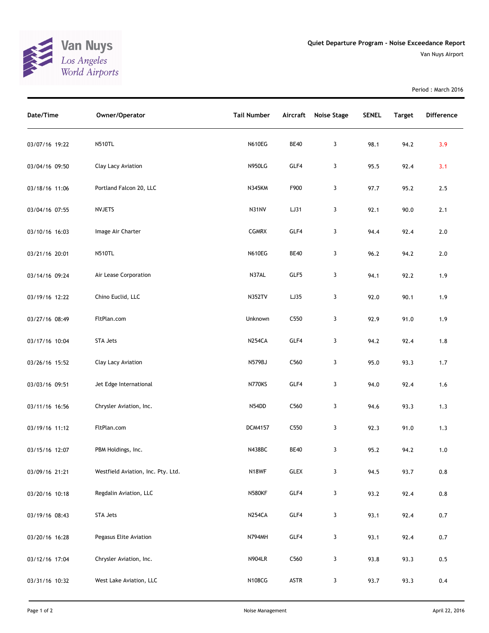

Period : March 2016

| Date/Time      | Owner/Operator                     | <b>Tail Number</b> | Aircraft         | <b>Noise Stage</b> | <b>SENEL</b> | <b>Target</b> | Difference |
|----------------|------------------------------------|--------------------|------------------|--------------------|--------------|---------------|------------|
| 03/07/16 19:22 | <b>N510TL</b>                      | <b>N610EG</b>      | <b>BE40</b>      | 3                  | 98.1         | 94.2          | 3.9        |
| 03/04/16 09:50 | Clay Lacy Aviation                 | <b>N950LG</b>      | GLF4             | 3                  | 95.5         | 92.4          | 3.1        |
| 03/18/16 11:06 | Portland Falcon 20, LLC            | <b>N345KM</b>      | F900             | 3                  | 97.7         | 95.2          | 2.5        |
| 03/04/16 07:55 | <b>NVJETS</b>                      | N31NV              | LJ31             | 3                  | 92.1         | 90.0          | 2.1        |
| 03/10/16 16:03 | Image Air Charter                  | <b>CGMRX</b>       | GLF4             | 3                  | 94.4         | 92.4          | $2.0$      |
| 03/21/16 20:01 | <b>N510TL</b>                      | <b>N610EG</b>      | <b>BE40</b>      | 3                  | 96.2         | 94.2          | 2.0        |
| 03/14/16 09:24 | Air Lease Corporation              | N37AL              | GLF5             | 3                  | 94.1         | 92.2          | 1.9        |
| 03/19/16 12:22 | Chino Euclid, LLC                  | <b>N352TV</b>      | LJ35             | 3                  | 92.0         | 90.1          | 1.9        |
| 03/27/16 08:49 | FltPlan.com                        | Unknown            | C <sub>550</sub> | 3                  | 92.9         | 91.0          | 1.9        |
| 03/17/16 10:04 | STA Jets                           | <b>N254CA</b>      | GLF4             | 3                  | 94.2         | 92.4          | 1.8        |
| 03/26/16 15:52 | Clay Lacy Aviation                 | <b>N579BJ</b>      | C <sub>560</sub> | 3                  | 95.0         | 93.3          | 1.7        |
| 03/03/16 09:51 | Jet Edge International             | N770KS             | GLF4             | 3                  | 94.0         | 92.4          | 1.6        |
| 03/11/16 16:56 | Chrysler Aviation, Inc.            | N54DD              | C560             | 3                  | 94.6         | 93.3          | 1.3        |
| 03/19/16 11:12 | FltPlan.com                        | <b>DCM4157</b>     | C <sub>550</sub> | 3                  | 92.3         | 91.0          | 1.3        |
| 03/15/16 12:07 | PBM Holdings, Inc.                 | <b>N438BC</b>      | <b>BE40</b>      | 3                  | 95.2         | 94.2          | $1.0$      |
| 03/09/16 21:21 | Westfield Aviation, Inc. Pty. Ltd. | N18WF              | GLEX             | 3                  | 94.5         | 93.7          | 0.8        |
| 03/20/16 10:18 | Regdalin Aviation, LLC             | <b>N580KF</b>      | GLF4             | 3                  | 93.2         | 92.4          | $0.8\,$    |
| 03/19/16 08:43 | STA Jets                           | <b>N254CA</b>      | GLF4             | $\mathbf{3}$       | 93.1         | 92.4          | 0.7        |
| 03/20/16 16:28 | Pegasus Elite Aviation             | <b>N794MH</b>      | GLF4             | 3                  | 93.1         | 92.4          | 0.7        |
| 03/12/16 17:04 | Chrysler Aviation, Inc.            | <b>N904LR</b>      | C560             | $\mathbf{3}$       | 93.8         | 93.3          | 0.5        |
| 03/31/16 10:32 | West Lake Aviation, LLC            | N108CG             | ASTR             | 3                  | 93.7         | 93.3          | 0.4        |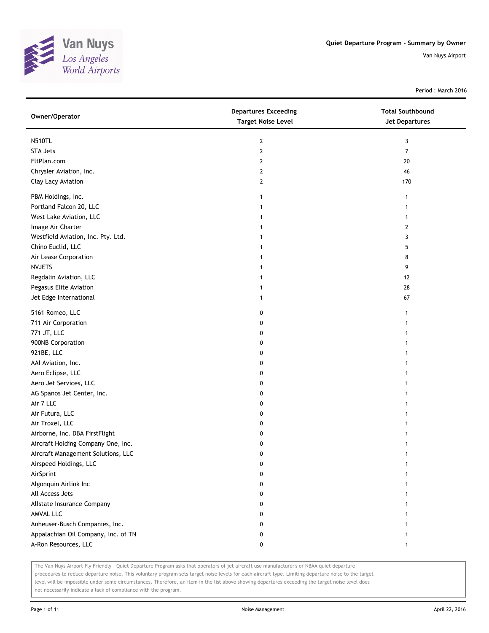

Period : March 2016

| Owner/Operator                      | <b>Departures Exceeding</b><br><b>Target Noise Level</b> | <b>Total Southbound</b><br>Jet Departures |
|-------------------------------------|----------------------------------------------------------|-------------------------------------------|
| <b>N510TL</b>                       | $\overline{2}$                                           | 3                                         |
| <b>STA Jets</b>                     | $\mathbf{2}$                                             | 7                                         |
| FltPlan.com                         | 2                                                        | 20                                        |
| Chrysler Aviation, Inc.             | 2                                                        | 46                                        |
| Clay Lacy Aviation                  | $\overline{2}$                                           | 170                                       |
| PBM Holdings, Inc.                  | $\mathbf{1}$                                             | $\mathbf{1}$                              |
| Portland Falcon 20, LLC             | $\mathbf{1}$                                             | $\mathbf{1}$                              |
| West Lake Aviation, LLC             | 1                                                        | 1                                         |
| Image Air Charter                   |                                                          | 2                                         |
| Westfield Aviation, Inc. Pty. Ltd.  |                                                          | 3                                         |
| Chino Euclid, LLC                   |                                                          | 5                                         |
| Air Lease Corporation               |                                                          | 8                                         |
| <b>NVJETS</b>                       |                                                          | 9                                         |
| Regdalin Aviation, LLC              |                                                          | 12                                        |
| Pegasus Elite Aviation              | 1                                                        | 28                                        |
| Jet Edge International              | 1                                                        | 67                                        |
| 5161 Romeo, LLC                     | 0                                                        | $\mathbf{1}$                              |
| 711 Air Corporation                 | 0                                                        | 1                                         |
| 771 JT, LLC                         | 0                                                        |                                           |
| 900NB Corporation                   | 0                                                        |                                           |
| 921BE, LLC                          | 0                                                        |                                           |
| AAI Aviation, Inc.                  | 0                                                        |                                           |
| Aero Eclipse, LLC                   | 0                                                        |                                           |
| Aero Jet Services, LLC              | 0                                                        |                                           |
| AG Spanos Jet Center, Inc.          | 0                                                        | 1                                         |
| Air 7 LLC                           | 0                                                        | 1                                         |
| Air Futura, LLC                     | 0                                                        |                                           |
| Air Troxel, LLC                     | 0                                                        |                                           |
| Airborne, Inc. DBA FirstFlight      | 0                                                        |                                           |
| Aircraft Holding Company One, Inc.  | 0                                                        | 1                                         |
| Aircraft Management Solutions, LLC  | 0                                                        | 1                                         |
| Airspeed Holdings, LLC              | 0                                                        |                                           |
| AirSprint                           | 0                                                        |                                           |
| Algonquin Airlink Inc               | 0                                                        |                                           |
| All Access Jets                     | 0                                                        | 1                                         |
| Allstate Insurance Company          | 0                                                        | 1                                         |
| AMVAL LLC                           | 0                                                        | 1                                         |
| Anheuser-Busch Companies, Inc.      | 0                                                        |                                           |
| Appalachian Oil Company, Inc. of TN | 0                                                        | 1                                         |
| A-Ron Resources, LLC                | 0                                                        | $\mathbf{1}$                              |

The Van Nuys Airport Fly Friendly - Quiet Departure Program asks that operators of jet aircraft use manufacturer's or NBAA quiet departure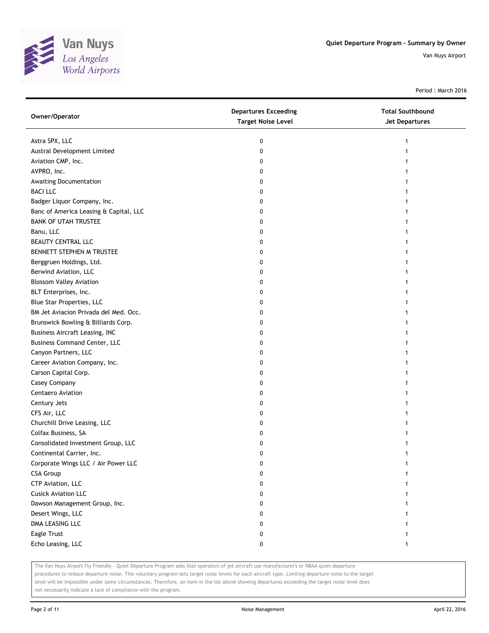

Period : March 2016

| Owner/Operator                         | <b>Departures Exceeding</b><br><b>Target Noise Level</b> | <b>Total Southbound</b><br>Jet Departures |
|----------------------------------------|----------------------------------------------------------|-------------------------------------------|
| Astra SPX, LLC                         | 0                                                        |                                           |
| Austral Development Limited            | 0                                                        |                                           |
| Aviation CMP, Inc.                     | 0                                                        |                                           |
| AVPRO, Inc.                            | 0                                                        |                                           |
| Awaiting Documentation                 | 0                                                        |                                           |
| <b>BACI LLC</b>                        | 0                                                        |                                           |
| Badger Liquor Company, Inc.            | 0                                                        |                                           |
| Banc of America Leasing & Capital, LLC | 0                                                        |                                           |
| <b>BANK OF UTAH TRUSTEE</b>            | 0                                                        |                                           |
| Banu, LLC                              | 0                                                        |                                           |
| BEAUTY CENTRAL LLC                     | 0                                                        |                                           |
| BENNETT STEPHEN M TRUSTEE              | 0                                                        |                                           |
| Berggruen Holdings, Ltd.               | 0                                                        |                                           |
| Berwind Aviation, LLC                  | 0                                                        |                                           |
| <b>Blossom Valley Aviation</b>         | 0                                                        |                                           |
| BLT Enterprises, Inc.                  | 0                                                        |                                           |
| Blue Star Properties, LLC              | 0                                                        |                                           |
| BM Jet Aviacion Privada del Med. Occ.  | 0                                                        |                                           |
| Brunswick Bowling & Billiards Corp.    | 0                                                        |                                           |
| <b>Business Aircraft Leasing, INC</b>  | 0                                                        |                                           |
| <b>Business Command Center, LLC</b>    | 0                                                        |                                           |
| Canyon Partners, LLC                   | 0                                                        |                                           |
| Career Aviation Company, Inc.          | 0                                                        |                                           |
| Carson Capital Corp.                   | 0                                                        |                                           |
| Casey Company                          | 0                                                        |                                           |
| Centaero Aviation                      | 0                                                        |                                           |
| Century Jets                           | 0                                                        |                                           |
| CFS Air, LLC                           | 0                                                        |                                           |
| Churchill Drive Leasing, LLC           | 0                                                        |                                           |
| Colfax Business, SA                    | 0                                                        |                                           |
| Consolidated Investment Group, LLC     | 0                                                        |                                           |
| Continental Carrier, Inc.              | 0                                                        |                                           |
| Corporate Wings LLC / Air Power LLC    | 0                                                        |                                           |
| <b>CSA Group</b>                       | 0                                                        |                                           |
| CTP Aviation, LLC                      | 0                                                        |                                           |
| <b>Cusick Aviation LLC</b>             | 0                                                        |                                           |
| Dawson Management Group, Inc.          | 0                                                        |                                           |
| Desert Wings, LLC                      | 0                                                        |                                           |
| DMA LEASING LLC                        | 0                                                        |                                           |
| Eagle Trust                            | 0                                                        |                                           |
| Echo Leasing, LLC                      | 0                                                        | 1                                         |

The Van Nuys Airport Fly Friendly - Quiet Departure Program asks that operators of jet aircraft use manufacturer's or NBAA quiet departure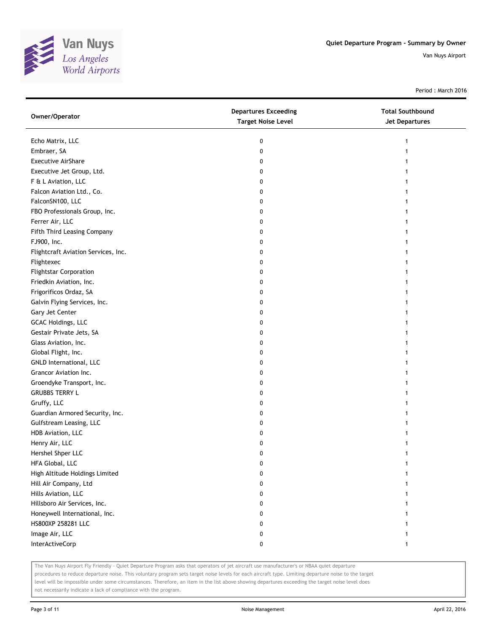

Period : March 2016

| Owner/Operator                      | <b>Departures Exceeding</b><br><b>Target Noise Level</b> | <b>Total Southbound</b><br>Jet Departures |
|-------------------------------------|----------------------------------------------------------|-------------------------------------------|
| Echo Matrix, LLC                    | 0                                                        | 1                                         |
| Embraer, SA                         | 0                                                        |                                           |
| <b>Executive AirShare</b>           | 0                                                        |                                           |
| Executive Jet Group, Ltd.           | 0                                                        |                                           |
| F & L Aviation, LLC                 | 0                                                        |                                           |
| Falcon Aviation Ltd., Co.           | 0                                                        | 1                                         |
| FalconSN100, LLC                    | 0                                                        |                                           |
| FBO Professionals Group, Inc.       | 0                                                        |                                           |
| Ferrer Air, LLC                     | 0                                                        |                                           |
| Fifth Third Leasing Company         | 0                                                        |                                           |
| FJ900, Inc.                         | 0                                                        |                                           |
| Flightcraft Aviation Services, Inc. | 0                                                        |                                           |
| Flightexec                          | 0                                                        |                                           |
| <b>Flightstar Corporation</b>       | 0                                                        |                                           |
| Friedkin Aviation, Inc.             | 0                                                        |                                           |
| Frigorificos Ordaz, SA              | 0                                                        |                                           |
| Galvin Flying Services, Inc.        | 0                                                        |                                           |
| Gary Jet Center                     | 0                                                        |                                           |
| GCAC Holdings, LLC                  | 0                                                        |                                           |
| Gestair Private Jets, SA            | 0                                                        |                                           |
| Glass Aviation, Inc.                | 0                                                        |                                           |
| Global Flight, Inc.                 | 0                                                        |                                           |
| GNLD International, LLC             | 0                                                        |                                           |
| Grancor Aviation Inc.               | 0                                                        |                                           |
| Groendyke Transport, Inc.           | 0                                                        |                                           |
| <b>GRUBBS TERRY L</b>               | 0                                                        |                                           |
| Gruffy, LLC                         | 0                                                        |                                           |
| Guardian Armored Security, Inc.     | 0                                                        |                                           |
| Gulfstream Leasing, LLC             | 0                                                        |                                           |
| HDB Aviation, LLC                   | 0                                                        |                                           |
| Henry Air, LLC                      | 0                                                        |                                           |
| Hershel Shper LLC                   | 0                                                        |                                           |
| HFA Global, LLC                     | 0                                                        |                                           |
| High Altitude Holdings Limited      | 0                                                        |                                           |
| Hill Air Company, Ltd               | 0                                                        |                                           |
| Hills Aviation, LLC                 | 0                                                        |                                           |
| Hillsboro Air Services, Inc.        | 0                                                        |                                           |
| Honeywell International, Inc.       | 0                                                        |                                           |
| HS800XP 258281 LLC                  | 0                                                        |                                           |
| Image Air, LLC                      | 0                                                        |                                           |
| InterActiveCorp                     | 0                                                        |                                           |

The Van Nuys Airport Fly Friendly - Quiet Departure Program asks that operators of jet aircraft use manufacturer's or NBAA quiet departure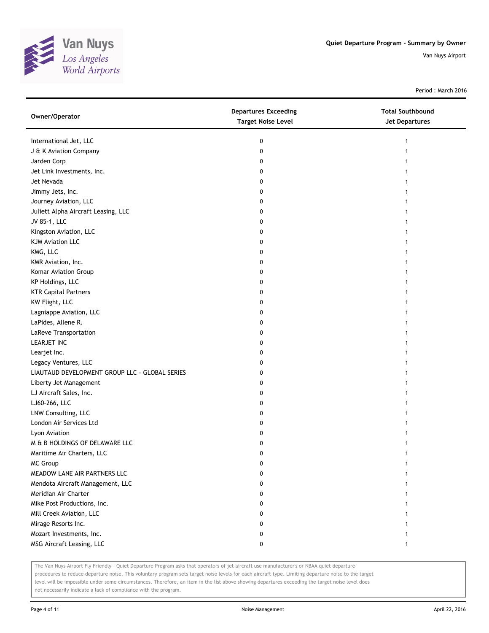

Period : March 2016

| Owner/Operator                                 | <b>Departures Exceeding</b><br><b>Target Noise Level</b> | <b>Total Southbound</b><br><b>Jet Departures</b> |
|------------------------------------------------|----------------------------------------------------------|--------------------------------------------------|
| International Jet, LLC                         | 0                                                        | 1                                                |
| J & K Aviation Company                         | 0                                                        |                                                  |
| Jarden Corp                                    | 0                                                        |                                                  |
| Jet Link Investments, Inc.                     | 0                                                        |                                                  |
| Jet Nevada                                     | 0                                                        |                                                  |
| Jimmy Jets, Inc.                               | 0                                                        |                                                  |
| Journey Aviation, LLC                          | 0                                                        |                                                  |
| Juliett Alpha Aircraft Leasing, LLC            | 0                                                        |                                                  |
| JV 85-1, LLC                                   | 0                                                        |                                                  |
| Kingston Aviation, LLC                         | 0                                                        |                                                  |
| <b>KJM Aviation LLC</b>                        | 0                                                        |                                                  |
| KMG, LLC                                       | 0                                                        |                                                  |
| KMR Aviation, Inc.                             | 0                                                        |                                                  |
| Komar Aviation Group                           | 0                                                        |                                                  |
| KP Holdings, LLC                               | 0                                                        |                                                  |
| <b>KTR Capital Partners</b>                    | 0                                                        |                                                  |
| KW Flight, LLC                                 | 0                                                        |                                                  |
| Lagniappe Aviation, LLC                        | 0                                                        |                                                  |
| LaPides, Allene R.                             | 0                                                        |                                                  |
| LaReve Transportation                          | 0                                                        |                                                  |
| LEARJET INC                                    | 0                                                        |                                                  |
| Learjet Inc.                                   | 0                                                        |                                                  |
| Legacy Ventures, LLC                           | 0                                                        |                                                  |
| LIAUTAUD DEVELOPMENT GROUP LLC - GLOBAL SERIES | 0                                                        |                                                  |
| Liberty Jet Management                         | 0                                                        |                                                  |
| LJ Aircraft Sales, Inc.                        | 0                                                        |                                                  |
| LJ60-266, LLC                                  | 0                                                        |                                                  |
| LNW Consulting, LLC                            | 0                                                        |                                                  |
| London Air Services Ltd                        | 0                                                        |                                                  |
| Lyon Aviation                                  | 0                                                        |                                                  |
| M & B HOLDINGS OF DELAWARE LLC                 | 0                                                        |                                                  |
| Maritime Air Charters, LLC                     | 0                                                        | 1                                                |
| <b>MC Group</b>                                | 0                                                        |                                                  |
| MEADOW LANE AIR PARTNERS LLC                   | 0                                                        |                                                  |
| Mendota Aircraft Management, LLC               | 0                                                        |                                                  |
| Meridian Air Charter                           | 0                                                        |                                                  |
| Mike Post Productions, Inc.                    | 0                                                        |                                                  |
| Mill Creek Aviation, LLC                       | 0                                                        |                                                  |
| Mirage Resorts Inc.                            | 0                                                        |                                                  |
| Mozart Investments, Inc.                       | 0                                                        |                                                  |
| MSG Aircraft Leasing, LLC                      | 0                                                        | 1                                                |

The Van Nuys Airport Fly Friendly - Quiet Departure Program asks that operators of jet aircraft use manufacturer's or NBAA quiet departure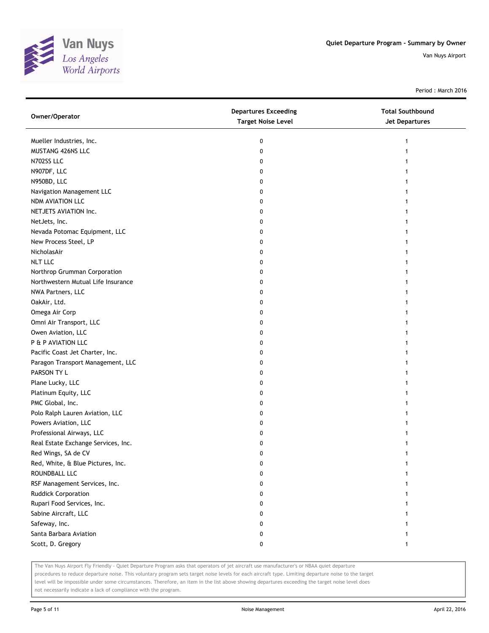

Period : March 2016

| Owner/Operator                      | <b>Departures Exceeding</b><br><b>Target Noise Level</b> | <b>Total Southbound</b><br>Jet Departures |
|-------------------------------------|----------------------------------------------------------|-------------------------------------------|
| Mueller Industries, Inc.            | 0                                                        |                                           |
| MUSTANG 426NS LLC                   | 0                                                        |                                           |
| N702SS LLC                          | 0                                                        |                                           |
| N907DF, LLC                         | 0                                                        |                                           |
| N950BD, LLC                         | 0                                                        |                                           |
| Navigation Management LLC           | 0                                                        |                                           |
| NDM AVIATION LLC                    | 0                                                        |                                           |
| NETJETS AVIATION Inc.               | 0                                                        |                                           |
| NetJets, Inc.                       | 0                                                        |                                           |
| Nevada Potomac Equipment, LLC       | 0                                                        |                                           |
| New Process Steel, LP               | 0                                                        |                                           |
| NicholasAir                         | 0                                                        |                                           |
| <b>NLT LLC</b>                      | 0                                                        |                                           |
| Northrop Grumman Corporation        | 0                                                        |                                           |
| Northwestern Mutual Life Insurance  | 0                                                        |                                           |
| NWA Partners, LLC                   | 0                                                        |                                           |
| OakAir, Ltd.                        | 0                                                        |                                           |
| Omega Air Corp                      | 0                                                        |                                           |
| Omni Air Transport, LLC             | 0                                                        |                                           |
| Owen Aviation, LLC                  | 0                                                        |                                           |
| P & P AVIATION LLC                  | 0                                                        |                                           |
| Pacific Coast Jet Charter, Inc.     | 0                                                        |                                           |
| Paragon Transport Management, LLC   | 0                                                        |                                           |
| PARSON TY L                         | 0                                                        |                                           |
| Plane Lucky, LLC                    | 0                                                        |                                           |
| Platinum Equity, LLC                | 0                                                        |                                           |
| PMC Global, Inc.                    | 0                                                        |                                           |
| Polo Ralph Lauren Aviation, LLC     | 0                                                        |                                           |
| Powers Aviation, LLC                | 0                                                        |                                           |
| Professional Airways, LLC           | 0                                                        |                                           |
| Real Estate Exchange Services, Inc. | 0                                                        |                                           |
| Red Wings, SA de CV                 | 0                                                        |                                           |
| Red, White, & Blue Pictures, Inc.   | 0                                                        |                                           |
| ROUNDBALL LLC                       | 0                                                        |                                           |
| RSF Management Services, Inc.       | 0                                                        |                                           |
| Ruddick Corporation                 | 0                                                        |                                           |
| Rupari Food Services, Inc.          | 0                                                        |                                           |
| Sabine Aircraft, LLC                | 0                                                        |                                           |
| Safeway, Inc.                       | 0                                                        |                                           |
| Santa Barbara Aviation              | 0                                                        |                                           |
| Scott, D. Gregory                   | 0                                                        | 1                                         |

The Van Nuys Airport Fly Friendly - Quiet Departure Program asks that operators of jet aircraft use manufacturer's or NBAA quiet departure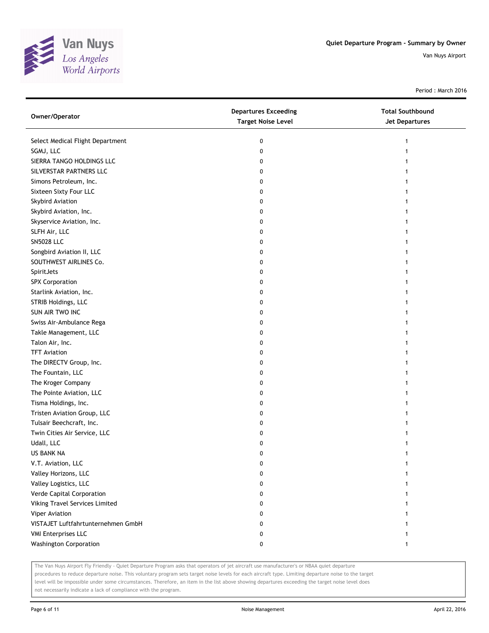

Period : March 2016

| Owner/Operator                     | <b>Departures Exceeding</b><br><b>Target Noise Level</b> | <b>Total Southbound</b><br><b>Jet Departures</b> |
|------------------------------------|----------------------------------------------------------|--------------------------------------------------|
| Select Medical Flight Department   | 0                                                        |                                                  |
| SGMJ, LLC                          | 0                                                        |                                                  |
| SIERRA TANGO HOLDINGS LLC          | 0                                                        |                                                  |
| SILVERSTAR PARTNERS LLC            | 0                                                        |                                                  |
| Simons Petroleum, Inc.             | 0                                                        |                                                  |
| Sixteen Sixty Four LLC             | 0                                                        |                                                  |
| Skybird Aviation                   | 0                                                        |                                                  |
| Skybird Aviation, Inc.             | 0                                                        |                                                  |
| Skyservice Aviation, Inc.          | 0                                                        |                                                  |
| SLFH Air, LLC                      | 0                                                        |                                                  |
| <b>SN5028 LLC</b>                  | 0                                                        |                                                  |
| Songbird Aviation II, LLC          | 0                                                        |                                                  |
| SOUTHWEST AIRLINES Co.             | 0                                                        |                                                  |
| SpiritJets                         | 0                                                        |                                                  |
| SPX Corporation                    | 0                                                        |                                                  |
| Starlink Aviation, Inc.            | 0                                                        |                                                  |
| STRIB Holdings, LLC                | 0                                                        |                                                  |
| SUN AIR TWO INC                    | 0                                                        |                                                  |
| Swiss Air-Ambulance Rega           | 0                                                        |                                                  |
| Takle Management, LLC              | 0                                                        |                                                  |
| Talon Air, Inc.                    | 0                                                        |                                                  |
| <b>TFT Aviation</b>                | 0                                                        |                                                  |
| The DIRECTV Group, Inc.            | 0                                                        |                                                  |
| The Fountain, LLC                  | 0                                                        |                                                  |
| The Kroger Company                 | 0                                                        |                                                  |
| The Pointe Aviation, LLC           | 0                                                        |                                                  |
| Tisma Holdings, Inc.               | 0                                                        |                                                  |
| Tristen Aviation Group, LLC        | 0                                                        |                                                  |
| Tulsair Beechcraft, Inc.           | 0                                                        |                                                  |
| Twin Cities Air Service, LLC       | 0                                                        |                                                  |
| Udall, LLC                         | 0                                                        |                                                  |
| US BANK NA                         | 0                                                        |                                                  |
| V.T. Aviation, LLC                 | 0                                                        |                                                  |
| Valley Horizons, LLC               | 0                                                        |                                                  |
| Valley Logistics, LLC              | 0                                                        |                                                  |
| Verde Capital Corporation          | 0                                                        |                                                  |
| Viking Travel Services Limited     | 0                                                        |                                                  |
| Viper Aviation                     | 0                                                        |                                                  |
| VISTAJET Luftfahrtunternehmen GmbH | 0                                                        |                                                  |
| <b>VMI Enterprises LLC</b>         | 0                                                        |                                                  |
| <b>Washington Corporation</b>      | 0                                                        | 1                                                |

The Van Nuys Airport Fly Friendly - Quiet Departure Program asks that operators of jet aircraft use manufacturer's or NBAA quiet departure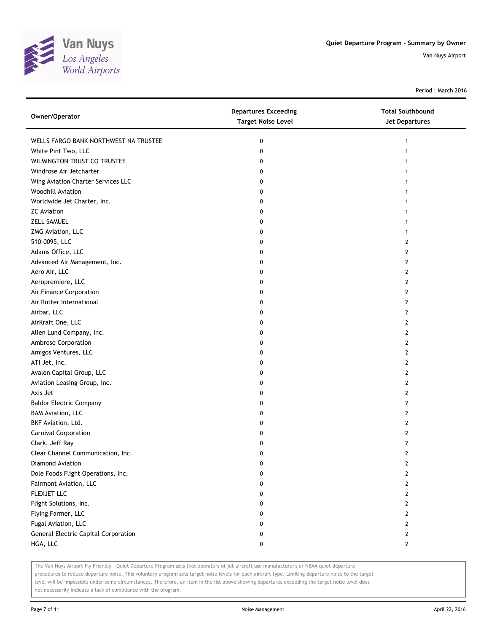

Period : March 2016

| Owner/Operator                              | <b>Departures Exceeding</b><br><b>Target Noise Level</b> | <b>Total Southbound</b><br>Jet Departures |
|---------------------------------------------|----------------------------------------------------------|-------------------------------------------|
| WELLS FARGO BANK NORTHWEST NA TRUSTEE       | 0                                                        | 1                                         |
| White Pint Two, LLC                         | 0                                                        |                                           |
| WILMINGTON TRUST CO TRUSTEE                 | 0                                                        |                                           |
| Windrose Air Jetcharter                     | 0                                                        |                                           |
| Wing Aviation Charter Services LLC          | 0                                                        |                                           |
| <b>Woodhill Aviation</b>                    | 0                                                        |                                           |
| Worldwide Jet Charter, Inc.                 | 0                                                        |                                           |
| <b>ZC</b> Aviation                          | 0                                                        |                                           |
| <b>ZELL SAMUEL</b>                          | 0                                                        |                                           |
| ZMG Aviation, LLC                           | 0                                                        |                                           |
| 510-0095, LLC                               | 0                                                        | 2                                         |
| Adams Office, LLC                           | 0                                                        | 2                                         |
| Advanced Air Management, Inc.               | 0                                                        | 2                                         |
| Aero Air, LLC                               | 0                                                        | 2                                         |
| Aeropremiere, LLC                           | 0                                                        | 2                                         |
| Air Finance Corporation                     | 0                                                        | 2                                         |
| Air Rutter International                    | 0                                                        | 2                                         |
| Airbar, LLC                                 | 0                                                        | 2                                         |
| AirKraft One, LLC                           | 0                                                        | 2                                         |
| Allen Lund Company, Inc.                    | 0                                                        | 2                                         |
| Ambrose Corporation                         | 0                                                        | 2                                         |
| Amigos Ventures, LLC                        | 0                                                        | $\mathbf{2}$                              |
| ATI Jet, Inc.                               | 0                                                        | 2                                         |
| Avalon Capital Group, LLC                   | 0                                                        | $\mathbf{2}$                              |
| Aviation Leasing Group, Inc.                | 0                                                        | 2                                         |
| Axis Jet                                    | 0                                                        | 2                                         |
| <b>Baldor Electric Company</b>              | 0                                                        | $\mathbf{2}$                              |
| <b>BAM Aviation, LLC</b>                    | 0                                                        | 2                                         |
| BKF Aviation, Ltd.                          | 0                                                        | 2                                         |
| Carnival Corporation                        | 0                                                        | 2                                         |
| Clark, Jeff Ray                             | 0                                                        | 2                                         |
| Clear Channel Communication, Inc.           | 0                                                        | $\mathbf{2}$                              |
| Diamond Aviation                            | U                                                        | $\mathbf{z}$                              |
| Dole Foods Flight Operations, Inc.          | 0                                                        | 2                                         |
| Fairmont Aviation, LLC                      | 0                                                        | 2                                         |
| FLEXJET LLC                                 | 0                                                        | 2                                         |
| Flight Solutions, Inc.                      | 0                                                        | 2                                         |
| Flying Farmer, LLC                          | 0                                                        | 2                                         |
| Fugal Aviation, LLC                         | 0                                                        | 2                                         |
| <b>General Electric Capital Corporation</b> | 0                                                        | 2                                         |
| HGA, LLC                                    | 0                                                        | $\mathbf{2}$                              |

The Van Nuys Airport Fly Friendly - Quiet Departure Program asks that operators of jet aircraft use manufacturer's or NBAA quiet departure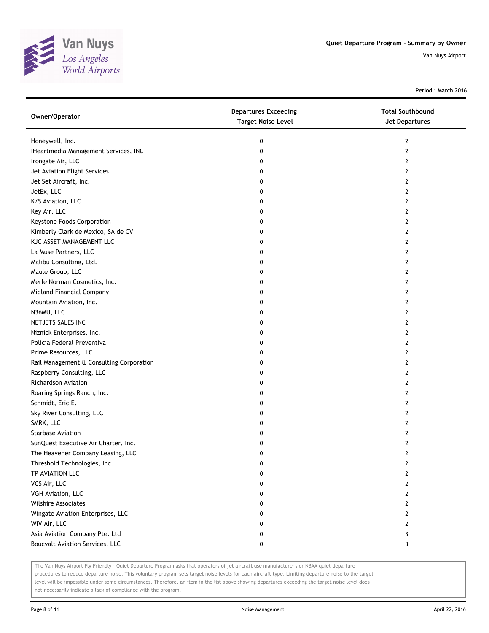

Period : March 2016

| Owner/Operator                           | <b>Departures Exceeding</b><br><b>Target Noise Level</b> | <b>Total Southbound</b><br>Jet Departures |
|------------------------------------------|----------------------------------------------------------|-------------------------------------------|
| Honeywell, Inc.                          | 0                                                        | 2                                         |
| IHeartmedia Management Services, INC     | 0                                                        | $\mathbf{2}$                              |
| Irongate Air, LLC                        | 0                                                        | 2                                         |
| Jet Aviation Flight Services             | 0                                                        | 2                                         |
| Jet Set Aircraft, Inc.                   | 0                                                        | 2                                         |
| JetEx, LLC                               | 0                                                        | 2                                         |
| K/S Aviation, LLC                        | 0                                                        | 2                                         |
| Key Air, LLC                             | 0                                                        | 2                                         |
| Keystone Foods Corporation               | 0                                                        | 2                                         |
| Kimberly Clark de Mexico, SA de CV       | 0                                                        | $\overline{2}$                            |
| KJC ASSET MANAGEMENT LLC                 | 0                                                        | $\mathbf{2}$                              |
| La Muse Partners, LLC                    | 0                                                        | 2                                         |
| Malibu Consulting, Ltd.                  | 0                                                        | 2                                         |
| Maule Group, LLC                         | 0                                                        | 2                                         |
| Merle Norman Cosmetics, Inc.             | 0                                                        | $\overline{2}$                            |
| Midland Financial Company                | 0                                                        | 2                                         |
| Mountain Aviation, Inc.                  | 0                                                        | 2                                         |
| N36MU, LLC                               | 0                                                        | 2                                         |
| NETJETS SALES INC                        | 0                                                        | 2                                         |
| Niznick Enterprises, Inc.                | 0                                                        | $\overline{2}$                            |
| Policia Federal Preventiva               | 0                                                        | $\mathbf{2}$                              |
| Prime Resources, LLC                     | 0                                                        | 2                                         |
| Rail Management & Consulting Corporation | 0                                                        | 2                                         |
| Raspberry Consulting, LLC                | 0                                                        | 2                                         |
| Richardson Aviation                      | 0                                                        | $\overline{2}$                            |
| Roaring Springs Ranch, Inc.              | 0                                                        | 2                                         |
| Schmidt, Eric E.                         | 0                                                        | 2                                         |
| Sky River Consulting, LLC                | 0                                                        | 2                                         |
| SMRK, LLC                                | 0                                                        | 2                                         |
| <b>Starbase Aviation</b>                 | 0                                                        | $\mathbf{2}$                              |
| SunQuest Executive Air Charter, Inc.     | 0                                                        | $\mathbf{2}$                              |
| The Heavener Company Leasing, LLC        | 0                                                        | $\mathbf{2}$                              |
| Threshold Technologies, Inc.             | 0                                                        | 2                                         |
| TP AVIATION LLC                          | 0                                                        | 2                                         |
| VCS Air, LLC                             | 0                                                        | $\mathbf{2}$                              |
| VGH Aviation, LLC                        | 0                                                        | $\mathbf{2}$                              |
| <b>Wilshire Associates</b>               | 0                                                        | $\mathbf{2}$                              |
| Wingate Aviation Enterprises, LLC        | 0                                                        | $\mathbf{2}$                              |
| WIV Air, LLC                             | 0                                                        | $\mathbf{2}$                              |
| Asia Aviation Company Pte. Ltd           | 0                                                        | 3                                         |
| Boucvalt Aviation Services, LLC          | 0                                                        | 3                                         |

The Van Nuys Airport Fly Friendly - Quiet Departure Program asks that operators of jet aircraft use manufacturer's or NBAA quiet departure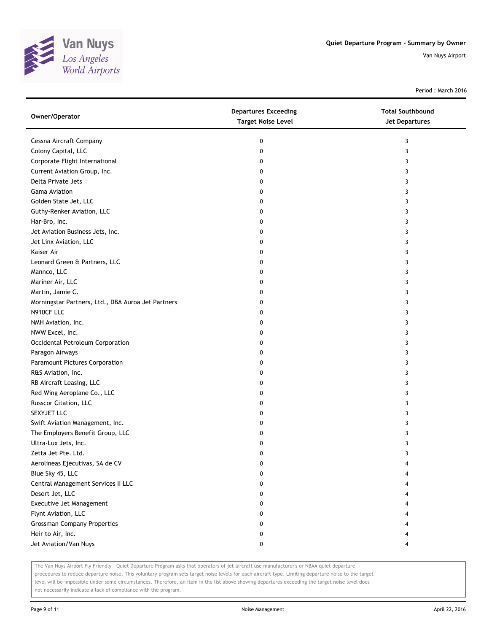

Period : March 2016

| Owner/Operator                                     | <b>Departures Exceeding</b><br><b>Target Noise Level</b> | <b>Total Southbound</b><br>Jet Departures |
|----------------------------------------------------|----------------------------------------------------------|-------------------------------------------|
| Cessna Aircraft Company                            | 0                                                        | 3                                         |
| Colony Capital, LLC                                | 0                                                        | 3                                         |
| Corporate Flight International                     | 0                                                        | 3                                         |
| Current Aviation Group, Inc.                       | 0                                                        | 3                                         |
| Delta Private Jets                                 | 0                                                        | 3                                         |
| <b>Gama Aviation</b>                               | 0                                                        | 3                                         |
| Golden State Jet, LLC                              | 0                                                        | 3                                         |
| Guthy-Renker Aviation, LLC                         | 0                                                        | 3                                         |
| Har-Bro, Inc.                                      | 0                                                        | 3                                         |
| Jet Aviation Business Jets, Inc.                   | 0                                                        | 3                                         |
| Jet Linx Aviation, LLC                             | 0                                                        | 3                                         |
| Kaiser Air                                         | 0                                                        | 3                                         |
| Leonard Green & Partners, LLC                      | 0                                                        | 3                                         |
| Mannco, LLC                                        | 0                                                        | 3                                         |
| Mariner Air, LLC                                   | 0                                                        | 3                                         |
| Martin, Jamie C.                                   | 0                                                        | 3                                         |
| Morningstar Partners, Ltd., DBA Auroa Jet Partners | 0                                                        | 3                                         |
| N910CF LLC                                         | 0                                                        | 3                                         |
| NMH Aviation, Inc.                                 | 0                                                        | 3                                         |
| NWW Excel, Inc.                                    | 0                                                        | 3                                         |
| Occidental Petroleum Corporation                   | 0                                                        | 3                                         |
| Paragon Airways                                    | 0                                                        | 3                                         |
| Paramount Pictures Corporation                     | 0                                                        | 3                                         |
| R&S Aviation, Inc.                                 | 0                                                        | 3                                         |
| RB Aircraft Leasing, LLC                           | 0                                                        | 3                                         |
| Red Wing Aeroplane Co., LLC                        | 0                                                        | 3                                         |
| Russcor Citation, LLC                              | 0                                                        | 3                                         |
| SEXYJET LLC                                        | 0                                                        | 3                                         |
| Swift Aviation Management, Inc.                    | 0                                                        | 3                                         |
| The Employers Benefit Group, LLC                   | 0                                                        | 3                                         |
| Ultra-Lux Jets, Inc.                               | 0                                                        | 3                                         |
| Zetta Jet Pte. Ltd.                                | 0                                                        | 3                                         |
| Aerolineas Ejecutivas, SA de CV                    | 0                                                        |                                           |
| Blue Sky 45, LLC                                   | 0                                                        |                                           |
| Central Management Services II LLC                 | 0                                                        | 4                                         |
| Desert Jet, LLC                                    | 0                                                        | 4                                         |
| Executive Jet Management                           | 0                                                        |                                           |
| Flynt Aviation, LLC                                | 0                                                        |                                           |
| <b>Grossman Company Properties</b>                 | 0                                                        |                                           |
| Heir to Air, Inc.                                  | 0                                                        | 4                                         |
| Jet Aviation/Van Nuys                              | 0                                                        | 4                                         |

The Van Nuys Airport Fly Friendly - Quiet Departure Program asks that operators of jet aircraft use manufacturer's or NBAA quiet departure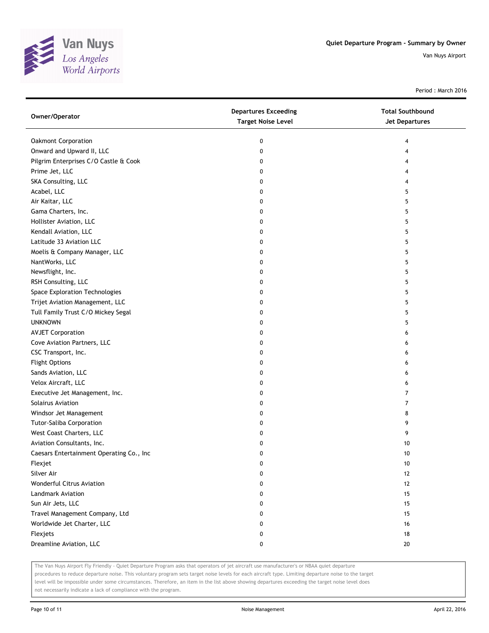

Period : March 2016

| Owner/Operator                           | <b>Departures Exceeding</b><br><b>Target Noise Level</b> | <b>Total Southbound</b><br>Jet Departures |
|------------------------------------------|----------------------------------------------------------|-------------------------------------------|
| Oakmont Corporation                      | 0                                                        | 4                                         |
| Onward and Upward II, LLC                | 0                                                        | 4                                         |
| Pilgrim Enterprises C/O Castle & Cook    | 0                                                        | 4                                         |
| Prime Jet, LLC                           | 0                                                        | 4                                         |
| SKA Consulting, LLC                      | 0                                                        | 4                                         |
| Acabel, LLC                              | 0                                                        | 5                                         |
| Air Kaitar, LLC                          | 0                                                        | 5                                         |
| Gama Charters, Inc.                      | 0                                                        | 5                                         |
| Hollister Aviation, LLC                  | 0                                                        | 5                                         |
| Kendall Aviation, LLC                    | 0                                                        | 5                                         |
| Latitude 33 Aviation LLC                 | 0                                                        | 5                                         |
| Moelis & Company Manager, LLC            | 0                                                        | 5                                         |
| NantWorks, LLC                           | 0                                                        | 5                                         |
| Newsflight, Inc.                         | 0                                                        | 5                                         |
| RSH Consulting, LLC                      | 0                                                        | 5                                         |
| Space Exploration Technologies           | 0                                                        | 5                                         |
| Trijet Aviation Management, LLC          | 0                                                        | 5                                         |
| Tull Family Trust C/O Mickey Segal       | 0                                                        | 5                                         |
| <b>UNKNOWN</b>                           | 0                                                        | 5                                         |
| <b>AVJET Corporation</b>                 | 0                                                        | 6                                         |
| Cove Aviation Partners, LLC              | 0                                                        | 6                                         |
| CSC Transport, Inc.                      | 0                                                        | 6                                         |
| <b>Flight Options</b>                    | 0                                                        | 6                                         |
| Sands Aviation, LLC                      | 0                                                        | 6                                         |
| Velox Aircraft, LLC                      | 0                                                        | 6                                         |
| Executive Jet Management, Inc.           | 0                                                        | 7                                         |
| Solairus Aviation                        | 0                                                        | 7                                         |
| Windsor Jet Management                   | 0                                                        | 8                                         |
| <b>Tutor-Saliba Corporation</b>          | 0                                                        | 9                                         |
| West Coast Charters, LLC                 | 0                                                        | 9                                         |
| Aviation Consultants, Inc.               | 0                                                        | 10                                        |
| Caesars Entertainment Operating Co., Inc | 0                                                        | 10                                        |
| Flexjet                                  | U                                                        | 10                                        |
| Silver Air                               | 0                                                        | 12                                        |
| <b>Wonderful Citrus Aviation</b>         | 0                                                        | 12                                        |
| Landmark Aviation                        | 0                                                        | 15                                        |
| Sun Air Jets, LLC                        | 0                                                        | 15                                        |
| Travel Management Company, Ltd           | 0                                                        | 15                                        |
| Worldwide Jet Charter, LLC               | 0                                                        | 16                                        |
| Flexjets                                 | 0                                                        | 18                                        |
| Dreamline Aviation, LLC                  | 0                                                        | 20                                        |

The Van Nuys Airport Fly Friendly - Quiet Departure Program asks that operators of jet aircraft use manufacturer's or NBAA quiet departure